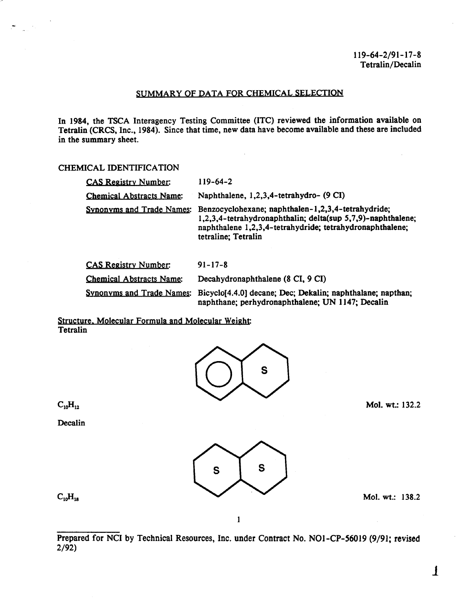#### SUMMARY OF DATA FOR CHEMICAL SELECTION

In 1984, the TSCA Interagency Testing Committee (lTC) reviewed the information available on Tetralin (CRCS, Inc., 1984). Since that time, new data have become available and these are included in the summary sheet.

#### CHEMICAL IDENTIFICATION

| <b>CAS Registry Number:</b>                                          | $119 - 64 - 2$                                                                                                                                                                                       |  |
|----------------------------------------------------------------------|------------------------------------------------------------------------------------------------------------------------------------------------------------------------------------------------------|--|
| <b>Chemical Abstracts Name:</b>                                      | Naphthalene, 1,2,3,4-tetrahydro- (9 CI)                                                                                                                                                              |  |
| Synonyms and Trade Names:                                            | Benzocyclohexane; naphthalen-1,2,3,4-tetrahydride;<br>1,2,3,4-tetrahydronaphthalin; delta(sup 5,7,9)-naphthalene;<br>naphthalene 1,2,3,4-tetrahydride; tetrahydronaphthalene;<br>tetraline; Tetralin |  |
| <b>CAS Registry Number:</b>                                          | $91 - 17 - 8$                                                                                                                                                                                        |  |
| Decahydronaphthalene (8 CI, 9 CI)<br><b>Chemical Abstracts Name:</b> |                                                                                                                                                                                                      |  |
|                                                                      |                                                                                                                                                                                                      |  |

Synonyms and Trade Names: Bicyclo[4.4.0] decane; Dec; Dekalin; naphthalane; napthan; naphthane; perhydronaphthalene; UN 1147; Decalin

#### Structure. Molecular Formula and Molecular Weight **Tetralin**



 $C_{10}H_{12}$ 

 $\langle \mathcal{A}_1 \rangle$ 

**Decalin** 



 $C_{10}H_{18}$ 

Mol. wt.: 138.2

Mol. wt.: 132.2

1

Prepared for NCI by Technical Resources, Inc. under Contract No. NO1-CP-56019 (9/91; revised 2/92)

1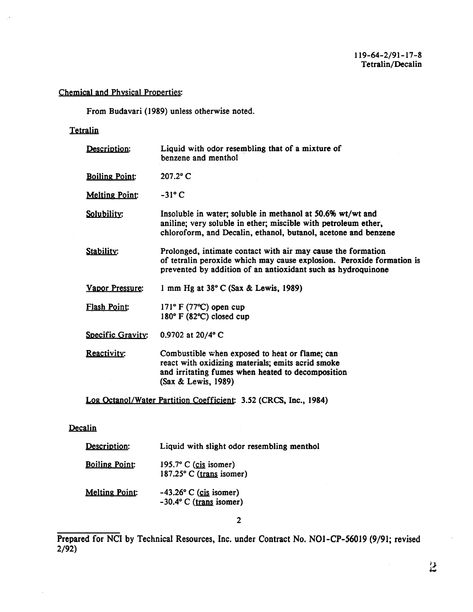# Chemical and Physical Properties:

From Budavari (1989) unless otherwise noted.

# **Tetralin**

 $\sim$ 

| Description:          | Liquid with odor resembling that of a mixture of<br>benzene and menthol                                                                                                                               |
|-----------------------|-------------------------------------------------------------------------------------------------------------------------------------------------------------------------------------------------------|
| <b>Boiling Point:</b> | 207.2° C                                                                                                                                                                                              |
| <b>Melting Point:</b> | $-31^\circ$ C                                                                                                                                                                                         |
| Solubility:           | Insoluble in water; soluble in methanol at 50.6% wt/wt and<br>aniline; very soluble in ether; miscible with petroleum ether,<br>chloroform, and Decalin, ethanol, butanol, acetone and benzene        |
| Stability:            | Prolonged, intimate contact with air may cause the formation<br>of tetralin peroxide which may cause explosion. Peroxide formation is<br>prevented by addition of an antioxidant such as hydroquinone |
| Vapor Pressure:       | 1 mm Hg at 38° C (Sax & Lewis, 1989)                                                                                                                                                                  |
| <b>Flash Point:</b>   | $171^{\circ}$ F (77 °C) open cup<br>$180^\circ$ F (82 $\degree$ C) closed cup                                                                                                                         |
| Specific Gravity:     | 0.9702 at 20/4° C                                                                                                                                                                                     |
| Reactivity:           | Combustible when exposed to heat or flame; can<br>react with oxidizing materials; emits acrid smoke<br>and irritating fumes when heated to decomposition<br>(Sax & Lewis, 1989)                       |
|                       | Log Octanol/Water Partition Coefficient: 3.52 (CRCS, Inc., 1984)                                                                                                                                      |

# Decalin

| Description:          | Liquid with slight odor resembling menthol                 |
|-----------------------|------------------------------------------------------------|
| <b>Boiling Point:</b> | 195.7 $\degree$ C (cis isomer)<br>187.25° C (trans isomer) |
| <b>Melting Point:</b> | $-43.26$ ° C (cis isomer)<br>$-30.4$ ° C (trans isomer)    |

2

Prepared for NCI by Technical Resources, Inc. under Contract No. N01-CP-56019 (9/91; revised 2/92)

 $\sim$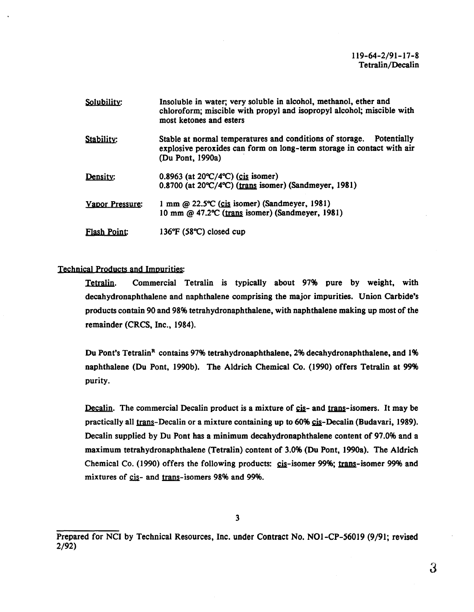| Solubility:         | Insoluble in water; very soluble in alcohol, methanol, ether and<br>chloroform; miscible with propyl and isopropyl alcohol; miscible with<br>most ketones and esters<br>Stable at normal temperatures and conditions of storage. Potentially<br>explosive peroxides can form on long-term storage in contact with air<br>(Du Pont, 1990a) |  |  |
|---------------------|-------------------------------------------------------------------------------------------------------------------------------------------------------------------------------------------------------------------------------------------------------------------------------------------------------------------------------------------|--|--|
| Stability:          |                                                                                                                                                                                                                                                                                                                                           |  |  |
| Density:            | $0.8963$ (at $20^{\circ}C/4^{\circ}C$ ) (cis isomer)<br>0.8700 (at 20°C/4°C) (trans isomer) (Sandmeyer, 1981)                                                                                                                                                                                                                             |  |  |
| Vapor Pressure:     | 1 mm @ 22.5°C (cis isomer) (Sandmeyer, 1981)<br>10 mm @ 47.2°C (trans isomer) (Sandmeyer, 1981)                                                                                                                                                                                                                                           |  |  |
| <b>Flash Point:</b> | 136°F (58°C) closed cup                                                                                                                                                                                                                                                                                                                   |  |  |

### Technical Products and Impurities:

Tetralin. Commercial Tetralin is typically about 97% pure by weight, with decahydronaphthalene and naphthalene comprising the major impurities. Union Carbide's products contain 90 and 98% tetrahydronaphthalene, with naphthalene making up most of the remainder (CRCS, Inc., 1984).

Du Pont's Tetralin<sup>8</sup> contains 97% tetrahydronaphthalene, 2% decahydronaphthalene, and 1% naphthalene (Du Pont, 1990b). The Aldrich Chemical Co. (1990) offers Tetralin at 99% purity.

Decalin. The commercial Decalin product is a mixture of cis- and trans-isomers. It may be practically all trans-Decalin or a mixture containing up to 60% cis-Decalin (Budavari, 1989). Decalin supplied by Du Pont has a minimum decahydronaphthalene content of 97.0% and a maximum tetrahydronaphthalene (Tetralin) content of 3.0% (Du Pont, 1990a). The Aldrich Chemical Co. (1990) offers the following products: cis-isomer 99%; trans-isomer 99% and mixtures of cis- and trans-isomers 98% and 99%.

Prepared for NCI by Technical Resources, Inc. under Contract No. NOl-CP-56019 (9/91; revised 2/92)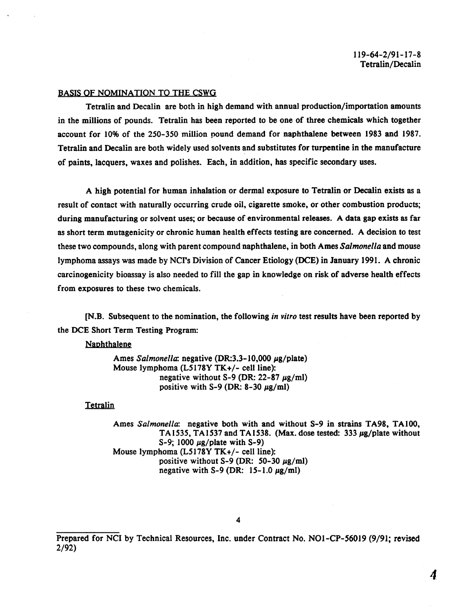#### BASIS OF NOMINATION TO THE CSWG

Tetralin and Decalin are both in high demand with annual production/importation amounts in the millions of pounds. Tetralin has been reported to be one of three chemicals which together account for 10% of the 250-350 million pound demand for naphthalene between 1983 and 1987. Tetralin and Decalin are both widely used solvents and substitutes for turpentine in the manufacture of paints, lacquers, waxes and polishes. Each, in addition, has specific secondary uses.

A high potential for human inhalation or dermal exposure to Tetralin or Decalin exists as a result of contact with naturally occurring crude oil, cigarette smoke, or other combustion products; during manufacturing or solvent uses; or because of environmental releases. A data gap exists as far as short term mutagenicity or chronic human health effects testing are concerned. A decision to test these two compounds, along with parent compound naphthalene, in both Ames *Salmonella* and mouse lymphoma assays was made by NCI's Division of Cancer Etiology (DCE) in January 1991. A chronic carcinogenicity bioassay is also needed to fill the gap in knowledge on risk of adverse health effects from exposures to these two chemicals.

[N.B. Subsequent to the nomination, the following *in vitro* test results have been reported by the DCE Short Term Testing Program:

**Naphthalene** 

Ames *Salmonella*: negative (DR:3.3-10,000 µg/plate) Mouse lymphoma (L5178Y TK+/- cell line): negative without S-9 (DR:  $22-87 \mu g/ml$ ) positive with S-9 (DR:  $8-30 \mu g/ml$ )

**Tetralin** 

Ames *Salmonella:* negative both with and without S-9 in strains TA98, TAIOO, TA1535, TA1537 and TA1538. (Max. dose tested: 333  $\mu$ g/plate without S-9; 1000  $\mu$ g/plate with S-9) Mouse lymphoma (L5178Y TK+/- cell line): positive without S-9 (DR: 50-30  $\mu$ g/ml) negative with S-9 (DR:  $15-1.0 \mu g/ml$ )

Prepared for NCI by Technical Resources, Inc. under Contract No. N01-CP-56019 (9/91; revised 2/92)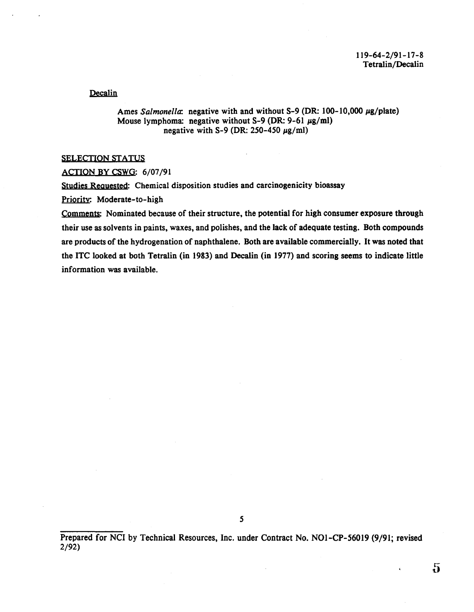Decalin

Ames *Salmonella*: negative with and without S-9 (DR: 100-10,000 µg/plate) Mouse lymphoma: negative without S-9 (DR: 9-61  $\mu$ g/ml) negative with S-9 (DR: 250-450  $\mu$ g/ml)

#### SELECTION STATUS

ACTION BY CSWG: 6/07/91

Studies Requested: Chemical disposition studies and carcinogenicity bioassay

Priority: Moderate-to-high

Comments: Nominated because of their structure, the potential for high consumer exposure through their use as solvents in paints, waxes, and polishes, and the lack of adequate testing. Both compounds are products of the hydrogenation of naphthalene. Both are available commercially. It was noted that the lTC looked at both Tetralin (in 1983) and Decalin (in 1977) and scoring seems to indicate little information was available.

*5* 

Prepared for NCI by Technical Resources, Inc. under Contract No. NOI-CP-56019 (9/91; revised 2/92)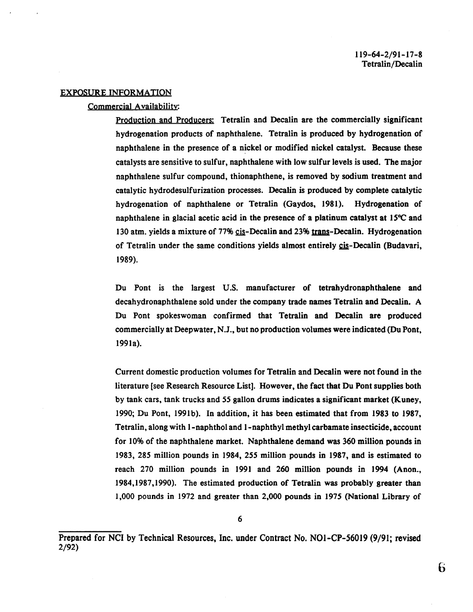#### EXPOSURE INFORMATION

#### Commercial Availability:

Production and Producers: Tetralin and Decalin are the commercially significant hydrogenation products of naphthalene. Tetralin is produced by hydrogenation of naphthalene in the presence of a nickel or modified nickel catalyst. Because these catalysts are sensitive to sulfur, naphthalene with low sulfur levels is used. The major naphthalene sulfur compound, thionaphthene, is removed by sodium treatment and catalytic hydrodesulfurization processes. Decalin is produced by complete catalytic hydrogenation of naphthalene or Tetralin (Gaydos, 1981). Hydrogenation of naphthalene in glacial acetic acid in the presence of a platinum catalyst at  $15^{\circ}$ C and 130 atm. yields a mixture of 77% cis-Decalin and 23% trans-Decalin. Hydrogenation of Tetralin under the same conditions yields almost entirely  $c$ is-Decalin (Budavari, 1989).

Du Pont is the largest U.S. manufacturer of tetrahydronaphthalene and decahydronaphthalene sold under the company trade names Tetralin and Decalin. A Du Pont spokeswoman confirmed that Tetralin and Decalin are produced commercially at Deepwater, N.J., but no production volumes were indicated (DuPont, 199la).

Current domestic production volumes for Tetralin and Decalin were not found in the literature [see Research Resource List]. However, the fact that Du Pont supplies both by tank cars, tank trucks and *55* gallon drums indicates a significant market (Kuney, 1990; Du Pont, 1991b). In addition, it has been estimated that from 1983 to 1987, Tetralin, along with 1-naphthol and !-naphthyl methyl carbamate insecticide, account for 10% of the naphthalene market. Naphthalene demand was 360 million pounds in 1983, 285 million pounds in 1984, 255 million pounds in 1987, and is estimated to reach 270 million pounds in 1991 and 260 million pounds in 1994 (Anon., 1984,1987,1990). The estimated production of Tetralin was probably greater than 1,000 pounds in 1972 and greater than 2,000 pounds in 1975 (National Library of

Prepared for NCI by Technical Resources, Inc. under Contract No. N01-CP-56019 (9/91; revised 2/92)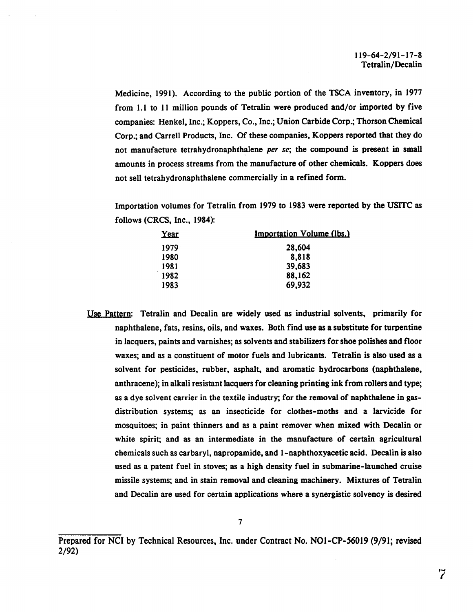Medicine, 1991). According to the public portion of the TSCA inventory, in 1977 from 1.1 to 11 million pounds of Tetralin were produced and/or imported by five companies: Henkel, Inc.; Koppers, Co., Inc.; Union Carbide Corp.; Thorson Chemical Corp.; and Carrell Products, Inc. Of these companies, Koppers reported that they do not manufacture tetrahydronaphthalene per se; the compound is present in small amounts in process streams from the manufacture of other chemicals. Koppers does not sell tetrahydronaphthalene commercially in a refined form.

Importation volumes for Tetralin from 1979 to 1983 were reported by the USITC as follows (CRCS, Inc., 1984):

| Year | <b>Importation Volume (lbs.)</b> |  |
|------|----------------------------------|--|
| 1979 | 28,604                           |  |
| 1980 | 8,818                            |  |
| 1981 | 39,683                           |  |
| 1982 | 88,162                           |  |
| 1983 | 69,932                           |  |

Use Pattern: Tetralin and Decalin are widely used as industrial solvents, primarily for naphthalene, fats, resins, oils, and waxes. Both find use as a substitute for turpentine in lacquers, paints and varnishes; as solvents and stabilizers for shoe polishes and floor waxes; and as a constituent of motor fuels and lubricants. Tetralin is also used as a solvent for pesticides, rubber, asphalt, and aromatic hydrocarbons (naphthalene, anthracene); in alkali resistant lacquers for cleaning printing ink from rollers and type; as a dye solvent carrier in the textile industry; for the removal of naphthalene in gasdistribution systems; as an insecticide for clothes-moths and a larvicide for mosquitoes; in paint thinners and as a paint remover when mixed with Decalin or white spirit; and as an intermediate in the manufacture of certain agricultural chemicals such as carbaryl, napropamide, and 1-naphthoxyacetic acid. Decalin is also used as a patent fuel in stoves; as a high density fuel in submarine-launched cruise missile systems; and in stain removal and cleaning machinery. Mixtures of Tetralin and Decalin are used for certain applications where a synergistic solvency is desired

Prepared for NCI by Technical Resources, Inc. under Contract No. N01-CP-56019 (9/91; revised 2/92)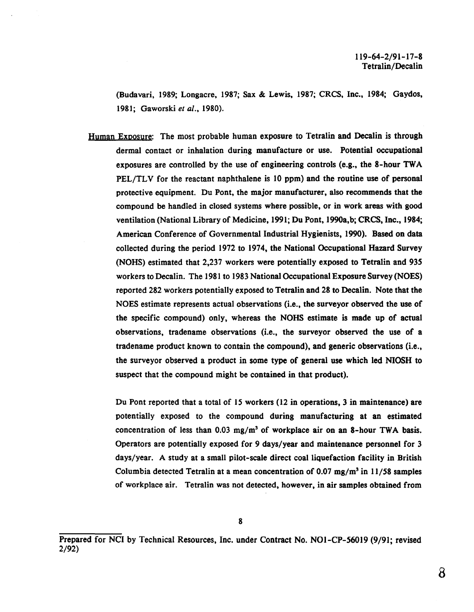(Budavari, 1989; Longacre, 1987; Sax & Lewis, 1987; CRCS, Inc., 1984; Gaydos, 1981; Gaworski *et al.,* 1980).

Human Exoosure: The most probable human exposure to Tetralin and Decalin is through dermal contact or inhalation during manufacture or use. Potential occupational exposures are controlled by the use of engineering controls (e.g., the 8-hour TWA PEL/TLV for the reactant naphthalene is 10 ppm) and the routine use of personal protective equipment. Du Pont, the major manufacturer, also recommends that the compound be handled in closed systems where possible, or in work areas with good ventilation (National Library of Medicine, 1991; Du Pont, 1990a,b; CRCS, Inc., 1984; American Conference of Governmental Industrial Hygienists, 1990). Based on data collected during the period 1972 to 1974, the National Occupational Hazard Survey (NOHS) estimated that 2,237 workers were potentially exposed to Tetralin and 935 workers to Decalin. The 1981 to 1983 National Occupational Exposure Survey (NOES) reported 282 workers potentially exposed to Tetralin and 28 to Decalin. Note that the NOES estimate represents actual observations (i.e., the surveyor observed the use of the specific compound) only, whereas the NOHS estimate is made up of actual observations, tradename observations (i.e., the surveyor observed the use of a tradename product known to contain the compound), and generic observations (i.e., the surveyor observed a product in some type of general use which led NIOSH to suspect that the compound might be contained in that product).

Du Pont reported that a total of 15 workers  $(12 \text{ in operations}, 3 \text{ in maintenance})$  are potentially exposed to the compound during manufacturing at an estimated concentration of less than  $0.03 \text{ mg/m}^3$  of workplace air on an 8-hour TWA basis. Operators are potentially exposed for 9 days/year and maintenance personnel for 3 days/year. A study at a small pilot-scale direct coal liquefaction facility in British Columbia detected Tetralin at a mean concentration of 0.07 mg/m<sup>3</sup> in 11/58 samples of workplace air. Tetralin was not detected, however, in air samples obtained from

Prepared for NCI by Technical Resources, Inc. under Contract No. NOl-CP-56019 (9/91; revised 2/92)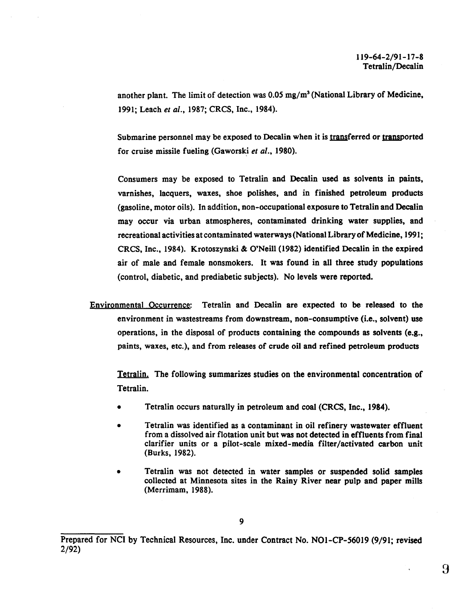another plant. The limit of detection was  $0.05 \text{ mg/m}^3$  (National Library of Medicine, 1991; Leach *et al.,* 1987; CRCS, Inc., 1984).

Submarine personnel may be exposed to Decalin when it is transferred or transported for cruise missile fueling (Gaworski *et al.,* 1980).

Consumers may be exposed to Tetralin and Decalin used as solvents in paints, varnishes, lacquers, waxes, shoe polishes, and in finished petroleum products (gasoline, motor oils). In addition, non-occupational exposure to Tetralin and Decalin may occur via urban atmospheres, contaminated drinking water supplies, and recreational activities at contaminated waterways (National Library of Medicine, 1991; CRCS, Inc., 1984). Krotoszynski & O'Neill (1982) identified Decalin in the expired air of male and female nonsmokers. It was found in all three study populations (control, diabetic, and prediabetic subjects). No levels were reported.

Environmental Occurrence: Tetralin and Decalin are expected to be released· to the environment in wastestreams from downstream, non-consumptive (i.e., solvent) use operations, in the disposal of products containing the compounds as solvents (e.g., paints, waxes, etc.), and from releases of crude oil and refined petroleum products

Tetralin. The following summarizes studies on the environmental concentration of Tetralin.

- Tetralin occurs naturally in petroleum and coal (CRCS, Inc., 1984).
- Tetralin was identified as a contaminant in oil refinery wastewater effluent from a dissolved air flotation unit but was not detected in effluents from final clarifier units or a pilot-scale mixed-media filter/activated carbon unit (Burks, 1982).
- Tetralin was not detected in water samples or suspended solid samples collected at Minnesota sites in the Rainy River near pulp and paper mills (Merrimam, 1988).

Prepared for NCI by Technical Resources, Inc. under Contract No. NOI-CP-56019 (9/91; revised 2/92)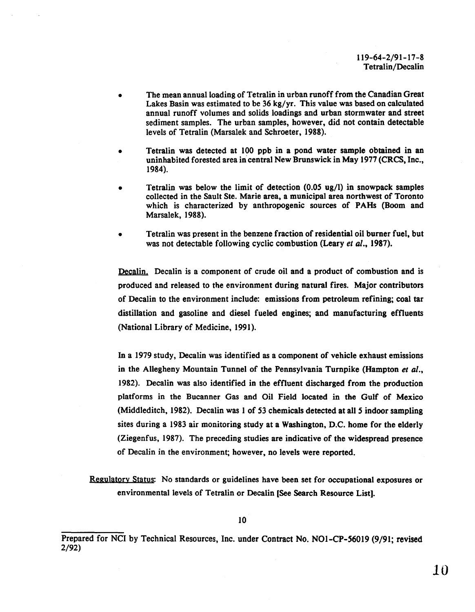- The mean annual loading of Tetralin in urban runoff from the Canadian Great Lakes Basin was estimated to be 36 kg/yr. This value was based on calculated annual runoff volumes and solids loadings and urban stormwater and street sediment samples. The urban samples, however, did not contain detectable levels of Tetralin (Marsalek and Schroeter, 1988).
- Tetralin was detected at 100 ppb in a pond water sample obtained in an uninhabited forested area in central New Brunswick in May 1977 (CRCS, Inc., 1984).
- Tetralin was below the limit of detection  $(0.05 \text{ ug/l})$  in snowpack samples collected in the Sault Ste. Marie area, a municipal area northwest of Toronto which is characterized by anthropogenic sources of PAHs (Boom and Marsalek, 1988).
- Tetralin was present in the benzene fraction of residential oil burner fuel, but was not detectable following cyclic combustion (Leary *et al.,* 1987).

Decalin. Decalin is a component of crude oil and a product of combustion and is produced and released to the environment during natural fires. Major contributors of Decalin to the environment include: emissions from petroleum refining; coal tar distillation and gasoline and diesel fueled engines; and manufacturing effluents (National Library of Medicine, 1991 ).

In a 1979 study, Decalin was identified as a component of vehicle exhaust emissions in the Allegheny Mountain Tunnel of the Pennsylvania Turnpike (Hampton *et al.,*  1982). Decalin was also identified in the effluent discharged from the production platforms in the Bucanner Gas and Oil Field located in the Gulf of Mexico (Middleditch, 1982). Decalin was 1 of 53 chemicals detected at all 5 indoor sampling sites during a 1983 air monitoring study at a Washington, D.C. home for the elderly (Ziegenfus, 1987). The preceding studies are indicative of the widespread presence of Decalin in the environment; however, no levels were reported.

Regulatory Status: No standards or guidelines have been set for occupational exposures or environmental levels of Tetralin or Decalin [See Search Resource List].

Prepared for NCI by Technical Resources, Inc. under Contract No. N01-CP-56019 (9/91; revised 2/92)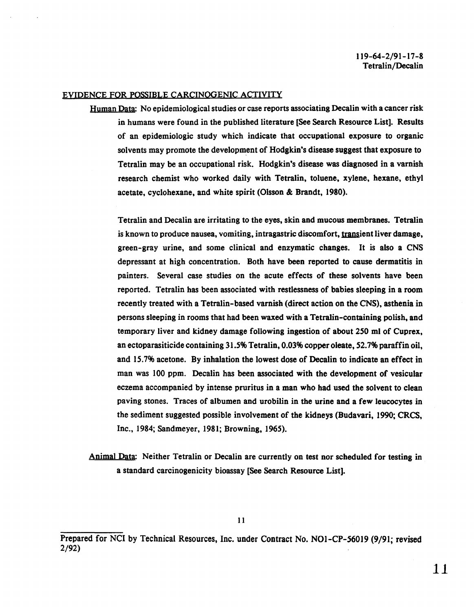#### EYIDENCE FOR POSSIBLE CARCINOGENIC ACTIVITY

Human Data: No epidemiological studies or case reports associating Decalin with a cancer risk in humans were found in the published literature [See Search Resource List]. Results of an epidemiologic study which indicate that occupational exposure to organic solvents may promote the development of Hodgkin's disease suggest that exposure to Tetralin may be an occupational risk. Hodgkin's disease was diagnosed in a varnish research chemist who worked daily with Tetralin, toluene, xylene, hexane, ethyl acetate, cyclohexane, and white spirit (Olsson & Brandt, 1980).

Tetralin and Decalin are irritating to the eyes, skin and mucous membranes. Tetralin is known to produce nausea, vomiting, intragastric discomfort, transient liver damage, green-gray urine, and some clinical and enzymatic changes. It is also a CNS depressant at high concentration. Both have been reported to cause dermatitis in painters. Several case studies on the acute effects of these solvents have been reported. Tetralin has been associated with restlessness of babies sleeping in a room recently treated with a Tetralin-based varnish (direct action on the CNS), asthenia in persons sleeping in rooms that had been waxed with a Tetralin-containing polish, and temporary liver and kidney damage following ingestion of about 250 ml of Cuprex, an ectoparasiticide containing 31.5% Tetralin, 0.03% copper oleate, 52.7% paraffin oil, and 15.7% acetone. By inhalation the lowest dose of Decalin to indicate an effect in man was 100 ppm. Decalin has been associated with the development of vesicular eczema accompanied by intense pruritus in a man who had used the solvent to clean paving stones. Traces of albumen and urobilin in the urine and a few leucocytes in the sediment suggested possible involvement of the kidneys (Budavari, 1990; CRCS, Inc., 1984; Sandmeyer, 1981; Browning, 1965).

Animal Data: Neither Tetralin or Decalin are currently on test nor scheduled for testing in a standard carcinogenicity bioassay [See Search Resource List].

Prepared for NCI by Technical Resources, Inc. under Contract No. NO1-CP-56019 (9/91; revised 2/92)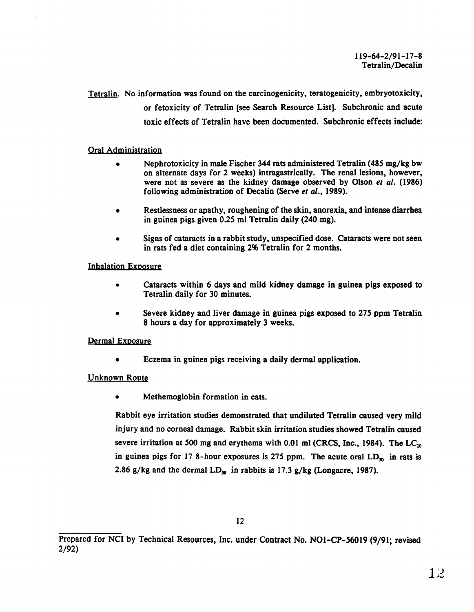Tetralin. No information was found on the carcinogenicity, teratogenicity, embryotoxicity, or fetoxicity of Tetralin [see Search Resource List]. Subchronic and acute toxic effects of Tetralin have been documented. Subchronic effects include:

### Oral Administration

- Nephrotoxicity in male Fischer 344 rats administered Tetralin (485 mg/kg bw) on alternate days for 2 weeks) intragastrically. The renal lesions, however, were not as severe as the kidney damage observed by Olson *et al.* (1986) following administration of Decalin (Serve *et al.,* 1989).
- Restlessness or apathy, roughening of the skin, anorexia, and intense diarrhea in guinea pigs given 0.25 ml Tetralin daily (240 mg).
- Signs of cataracts in a rabbit study, unspecified dose. Cataracts were not seen in rats fed a diet containing 2% Tetralin for 2 months.

### Inhalation Exposure

- Cataracts within 6 days and mild kidney damage in guinea pigs exposed to Tetralin daily for 30 minutes.
- Severe kidney and liver damage in guinea pigs exposed to 275 ppm Tetralin 8 hours a day for approximately 3 weeks.

### Dermal Exposure

• Eczema in guinea pigs receiving a daily dermal application.

### Unknown Route

• Methemoglobin formation in cats.

Rabbit eye irritation studies demonstrated that undiluted Tetralin caused very mild injury and no corneal damage. Rabbit skin irritation studies showed Tetralin caused severe irritation at 500 mg and erythema with 0.01 ml (CRCS, Inc., 1984). The LC $_{10}$ in guinea pigs for 17 8-hour exposures is 275 ppm. The acute oral  $LD_{\mathfrak{D}}$  in rats is 2.86 g/kg and the dermal  $LD_{50}$  in rabbits is 17.3 g/kg (Longacre, 1987).

Prepared for NCI by Technical Resources, Inc. under Contract No. N01-CP-56019 (9/91; revised 2/92)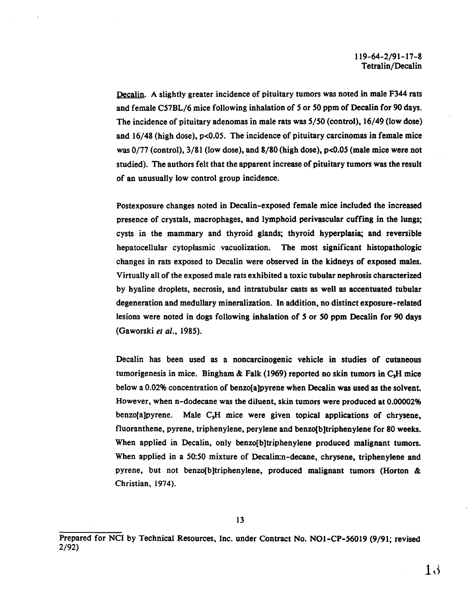Decalin. A slightly greater incidence of pituitary tumors was noted in male F344 rats and female C57BL/6 mice following inhalation of *5* or 50 ppm of Decalin for 90 days. The incidence of pituitary adenomas in male rats was 5/50 (control), 16/49 (low dose) and  $16/48$  (high dose),  $p<0.05$ . The incidence of pituitary carcinomas in female mice was 0/77 (control), 3/81 (low dose), and 8/80 (high dose), p<0.05 (male mice were not studied). The authors felt that the apparent increase of pituitary tumors was the result of an unusually low control group incidence.

Postexposure changes noted in Decalin-exposed female mice included the increased presence of crystals, macrophages, and lymphoid perivascular cuffing in the lungs; cysts in the mammary and thyroid glands; thyroid hyperplasia; and reversible hepatocellular cytoplasmic vacuolization. The most significant histopathologic changes in rats exposed to Decalin were observed in the kidneys of exposed males. Virtually all of the exposed male rats exhibited a toxic tubular nephrosis characterized by hyaline droplets, necrosis, and intratubular casts as well as accentuated tubular degeneration and medullary mineralization. In addition, no distinct exposure-related lesions were noted in dogs following inhalation of *5* or *50* ppm Decalin for 90 days (Gaworski *et al.,* 1985).

Decalin has been used as a noncarcinogenic vehicle in studies of cutaneous tumorigenesis in mice. Bingham & Falk (1969) reported no skin tumors in  $C<sub>3</sub>H$  mice below a 0.02% concentration of benzo[a]pyrene when Decalin was used as the solvent. However, when n-dodecane was the diluent, skin tumors were produced at 0.00002% benzo[a]pyrene. Male  $C_3H$  mice were given topical applications of chrysene, fluoranthene, pyrene, triphenylene, perylene and benzo(b]triphenylene for 80 weeks. When applied in Decalin, only benzo[b]triphenylene produced malignant tumors. When applied in a 50:50 mixture of Decalin:n-decane, chrysene, triphenylene and pyrene, but not benzo[b]triphenylene, produced malignant tumors (Horton & Christian, 1974).

Prepared for NCI by Technical Resources, Inc. under Contract No. NO1-CP-56019 (9/91; revised 2/92)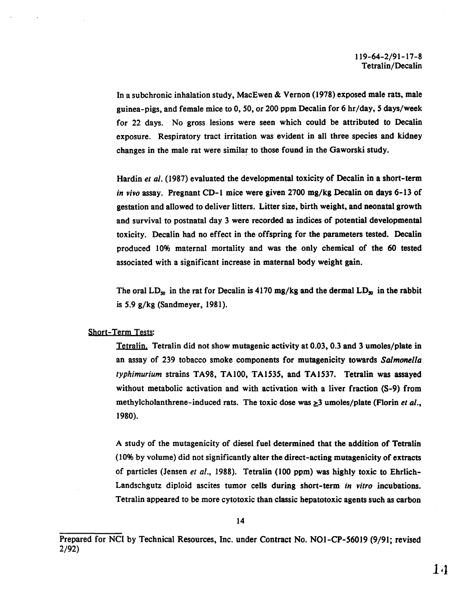In a subchronic inhalation study, MacEwen & Vernon (1978) exposed male rats, male guinea-pigs, and female mice to 0, 50, or 200 ppm Decalin for 6 hr/day, *5* days/week for 22 days. No gross lesions were seen which could be attributed to Decalin exposure. Respiratory tract irritation was evident in all three species and kidney changes in the male rat were similar to those found in the Gaworski study.

Hardin *et al.* (1987) evaluated the developmental toxicity of Decalin in a short-term *in vivo* assay. Pregnant CD-I mice were given 2700 mg/kg Decalin on days 6-13 of gestation and allowed to deliver litters. Litter size, birth weight, and neonatal growth and survival to postnatal day 3 were recorded as indices of potential developmental toxicity. Decalin had no effect in the offspring for the parameters tested. Decalin produced 10% maternal mortality and was the only chemical of the 60 tested associated with a significant increase in maternal body weight gain.

The oral  $LD_{50}$  in the rat for Decalin is 4170 mg/kg and the dermal  $LD_{50}$  in the rabbit is 5.9 g/kg (Sandmeyer, 1981).

#### Short-Term Tests:

Tetralin. Tetralin did not show mutagenic activity at 0.03, 0.3 and 3 umoles/plate in an assay of 239 tobacco smoke components for mutagenicity towards *Salmonella typhimurium* strains TA98, TAlOO, TA1535, and TA1537. Tetralin was assayed without metabolic activation and with activation with a liver fraction (S-9) from methylcholanthrene-induced rats. The toxic dose was  $\geq$ 3 umoles/plate (Florin *et al.*, 1980).

A study of the mutagenicity of diesel fuel determined that the addition of Tetralin (10% by volume) did not significantly alter the direct-acting mutagenicity of extracts of particles (Jensen *et al.,* 1988). Tetralin (100 ppm) was highly toxic to Ehrlich-Landschgutz diploid ascites tumor cells during short-term *in vitro* incubations. Tetralin appeared to be more cytotoxic than classic hepatotoxic agents such as carbon

Prepared for NCI by Technical Resources, Inc. under Contract No. NOl-CP-56019 (9/91; revised 2/92)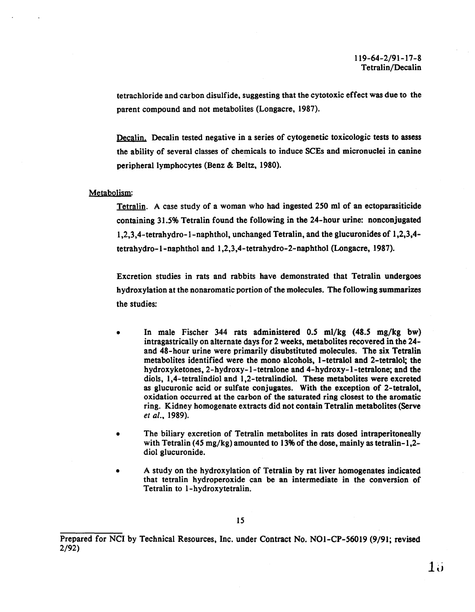tetrachloride and carbon disulfide, suggesting that the cytotoxic effect was due to the parent compound and not metabolites (Longacre, 1987).

Decalin. Decalin tested negative in a series of cytogenetic toxicologic tests to assess the ability of several classes of chemicals to induce SCEs and micronuclei in canine peripheral lymphocytes (Benz & Beltz, 1980).

#### Metabolism:

Tetralin. A case study of a woman who had ingested 250 ml of an ectoparasiticide containing 31.5% Tetralin found the following in the 24-hour urine: nonconjugated 1 ,2,3,4-tetrahydro-1-naphthol, unchanged Tetralin, and the glucuronides of 1,2,3,4 tetrahydro-1-naphthol and 1,2,3,4-tetrahydro-2-naphthol (Longacre, 1987).

Excretion studies in rats and rabbits have demonstrated that Tetralin undergoes hydroxylation at the nonaromatic portion of the molecules. The following summarizes the studies:

- In male Fischer 344 rats administered  $0.5$  ml/kg  $(48.5 \text{ mg/kg}$  bw) intragastrically on alternate days for 2 weeks, metabolites recovered in the 24 and 48-hour urine were primarily disubstituted molecules. The six Tetralin metabolites identified were the mono alcohols, 1-tetralol and 2-tetralol; the hydroxyketones, 2-hydroxy-1-tetralone and 4-hydroxy-1-tetralone; and the diols, 1,4-tetralindiol and 1,2-tetralindiol. These metabolites were excreted as glucuronic acid or sulfate conjugates. With the exception of 2-tetralol, oxidation occurred at the carbon of the saturated ring closest to the aromatic ring. Kidney homogenate extracts did not contain Tetralin metabolites (Serve *et al.,* 1989).
- The biliary excretion of Tetralin metabolites in rats dosed intraperitoneally with Tetralin (45 mg/kg) amounted to 13% of the dose, mainly as tetralin-1,2diol glucuronide.
- A study on the hydroxylation of Tetralin by rat liver homogenates indicated that tetralin hydroperoxide can be an intermediate in the conversion of Tetralin to 1-hydroxytetralin.

Prepared for NCI by Technical Resources, Inc. under Contract No. NOl-CP-56019 (9/91; revised 2/92)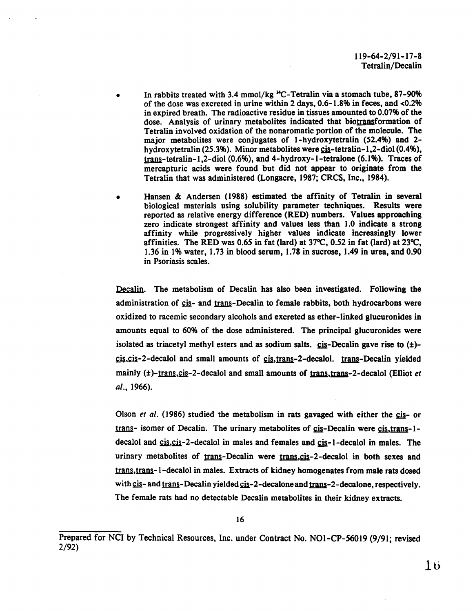- In rabbits treated with 3.4 mmol/kg  $^{14}$ C-Tetralin via a stomach tube, 87-90% of the dose was excreted in urine within 2 days, 0.6-1.8% in feces, and <0.2% in expired breath. The radioactive residue in tissues amounted to 0.07% of the dose. Analysis of urinary metabolites indicated that biotransformation of Tetralin involved oxidation of the nonaromatic portion of the molecule. The major metabolites were conjugates of 1-hydroxytetralin (52.4%) and 2 hydroxytetralin  $(25.3\%)$ . Minor metabolites were  $cis-tetralin-1,2-diol (0.4\%)$ ,</u>  $trans-tetralin-1,2-diol (0.6%)$ , and 4-hydroxy-1-tetralone (6.1%). Traces of mercapturic acids were found but did not appear to originate from the Tetralin that was administered (Longacre, 1987; CRCS, Inc., 1984).
- Hansen & Andersen (1988) estimated the affinity of Tetralin in several biological materials using solubility parameter techniques. Results were reported as relative energy difference (RED) numbers. Values approaching zero indicate strongest affinity and values less than 1.0 indicate a strong affinity while progressively higher values indicate increasingly lower affinities. The RED was 0.65 in fat (lard) at  $37^{\circ}$ C, 0.52 in fat (lard) at  $23^{\circ}$ C, 1.36 in I% water, 1.73 in blood serum, 1.78 in sucrose, 1.49 in urea, and 0.90 in Psoriasis scales.

Decalin. The metabolism of Decalin has also been investigated. Following the administration of cis- and trans-Decalin to female rabbits, both hydrocarbons were oxidized to racemic secondary alcohols and excreted as ether-linked glucuronides in amounts equal to 60% of the dose administered. The principal glucuronides were isolated as triacetyl methyl esters and as sodium salts.  $\operatorname{cis}$ -Decalin gave rise to  $(\pm)$ - $\frac{\text{cis}}{\text{cis}}$ ,  $\text{cis}-2$ -decalol and small amounts of  $\frac{\text{cis}}{\text{cis}}$ , trans-2-decalol. trans-Decalin yielded mainly  $(t)$ -trans,  $cis$ -2-decalol and small amounts of trans, trans-2-decalol (Elliot *et* a/., 1966).

Olson *et al.* (1986) studied the metabolism in rats gavaged with either the cis- or trans- isomer of Decalin. The urinary metabolites of cis-Decalin were cis, trans-1decalol and  $cis, cis - 2-decaloid in males and females and cis - 1-decaloid in males. The$ </u> urinary metabolites of trans-Decalin were trans, cis-2-decalol in both sexes and trans, trans-1-decalol in males. Extracts of kidney homogenates from male rats dosed with  $cis-$  and  $trans-Decalin yielded cis-2-decalone and trans-2-decalone, respectively.$ </u></u> The female rats had no detectable Decalin metabolites in their kidney extracts.

Prepared for NCI by Technical Resources, Inc. under Contract No. NOl-CP-56019 (9/91; revised 2/92)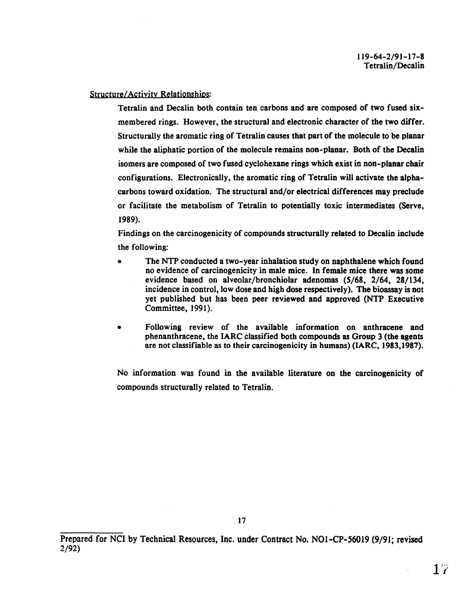### Structure/Activity Relationshios:

Tetralin and Decalin both contain ten carbons and are composed of two fused sixmembered rings. However, the structural and electronic character of the two differ. Structurally the aromatic ring of Tetralin causes that part of the molecule to be planar while the aliphatic portion of the molecule remains non-planar. Both of the Decalin isomers are composed of two fused cyclohexane rings which exist in non-planar chair configurations. Electronically, the aromatic ring of Tetralin will activate the alphacarbons toward oxidation. The structural and/or electrical differences may preclude or facilitate the metabolism of Tetralin to potentially toxic intermediates (Serve, 1989).

Findings on the carcinogenicity of compounds structurally related to Decalin include the following:

- The NTP conducted a two-year inhalation study on naphthalene which found no evidence of carcinogenicity in male mice. In female mice there was some evidence based on alveolar/bronchiolar adenomas (5/68, 2/64, 28/134, incidence in control, low dose and high dose respectively). The bioassay is not yet published but has been peer reviewed and approved (NTP Executive Committee, 1991).
- Following review of the available information on anthracene and phenanthracene, the IARC classified both compounds as Group 3 (the agents are not classifiable as to their carcinogenicity in humans) (IARC, 1983,1987).

No information was found in the available literature on the carcinogenicity of compounds structurally related to Tetralin.

Prepared for NCI by Technical Resources, Inc. under Contract No. N01-CP-56019 (9/91; revised 2/92)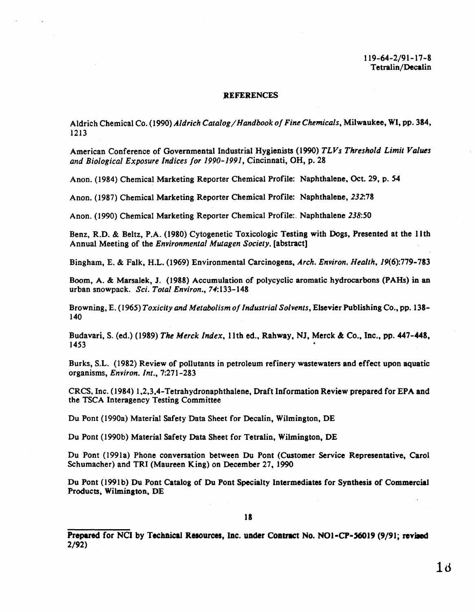#### **REFERENCES**

Aldrich Chemical Co. ( 1990) *Aldrich Catalog* I *Hand book of Fine Chemicals,* Milwaukee, WI, pp. 384, 1213

American Conference of Governmental Industrial Hygienists (1990) *TLVs Threshold Limit Values and Biological Exposure Indices for 1990-1991,* Cincinnati, OH, p. 28

Anon. (1984) Chemical Marketing Reporter Chemical Profile: Naphthalene, Oct. 29, p. 54

Anon. (1987) Chemical Marketing Reporter Chemical Profile: Naphthalene, 232:78

Anon. ( 1990) Chemical Marketing Reporter Chemical Profile:. Naphthalene 238:50

Benz, R.D. & Beltz, P.A. (1980) Cytogenetic Toxicologic Testing with Dogs, Presented at the 11th Annual Meeting of the *Environmental Mutagen Society,* (abstract)

Bingham, E. & Falk, H.L. (1969) Environmental Carcinogens, *Arch. Environ. Health,* 19(6):779-783

Boom, A. & Marsalek, J. (1988) Accumulation of polycyclic aromatic hydrocarbons (PAHs) in an urban snowpack. *Sci. Total Environ.,* 74:133-148

Browning, E. (1965) *Toxicity and Metabolism of Industrial Solvents,* Elsevier Publishing Co., pp. 138 140

Budavari, S. (ed.) (1989) *The Merck Index,* 11th ed., Rahway, NJ, Merck & Co., Inc., pp. 447-448,  $1453$ 

Burks, S.L. ( 1982) Review of pollutants in petroleum refinery wastewaters and effect upon aquatic organisms, *Environ. Int.,* 7:271-283

CRCS, Inc. (1984) 1 ,2,3,4-Tetrahydronaphthalene, Draft Information Review prepared for EPA and the TSCA Interagency Testing Committee

Du Pont (1990a) Material Safety Data Sheet for Decalin, Wilmington, DE

Du Pont (1990b) Material Safety Data Sheet for Tetralin, Wilmington, DE

Du Pont (199la) Phone conversation between Du Pont (Customer Service Representative, Carol Schumacher) and TRI (Maureen King) on December 27, 1990

Du Pont (1991b) Du Pont Catalog of Du Pont Specialty Intermediates for Synthesis of Commercial Products, Wilmington, DE

Prepared for NCI by Technical Resources, Inc. under Contract No. NO1-CP-56019 (9/91; revised 2/92)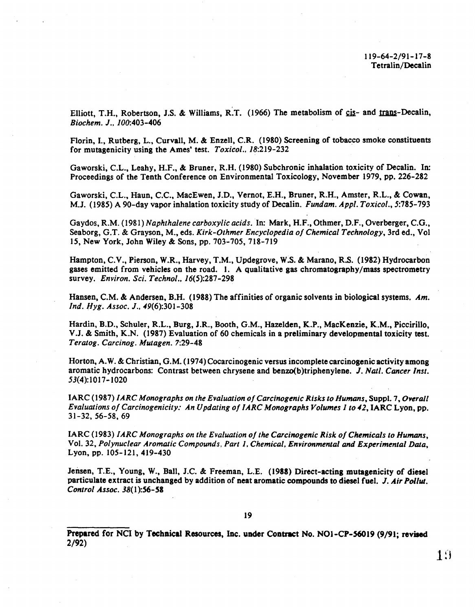Elliott, T.H., Robertson, J.S. & Williams, R.T. (1966) The metabolism of cis- and trans-Decalin, *Biochem.* J.• *100:403-406* 

Florin, I., Rutberg, L., Curvall, M. & Enzell, C.R. (1980) Screening of tobacco smoke constituents for mutagenicity using the Ames' test. *Toxicol.*, 18:219-232

Gaworski, C.L., Leahy, H.F., & Bruner, R.H. (1980) Subchronic inhalation toxicity of Decalin. In: Proceedings of the Tenth Conference on Environmental Toxicology, November 1979, pp. 226-282

Gaworski, C.L., Haun, C.C., MacEwen, J.D., Vernot, E.H., Bruner, R.H., Amster, R.L., & Cowan, M.J. ( 1985) A 90-day vapor inhalation toxicity study of Decalin. *Fund am. Appl. Toxicol.,* 5:785-793

Gaydos, R.M. (1981) *Naphthalene carboxylic acids.* In: Mark, H.F., Othmer, D.F., Overberger, C.G., Seaborg, G.T. & Grayson, M., eds. *Kirk-Othmer Encyclopedia of Chemical Technology,* 3rd ed., Vol 15, New York, John Wiley & Sons, pp. 703-705, 718-719

Hampton, C.V., Pierson, W.R., Harvey, T.M., Updegrove, W.S. & Marano, R.S. (1982) Hydrocarbon gases emitted from vehicles on the road. I. A qualitative gas chromatography/mass spectrometry survey. *Environ. Sci. Techno! .•* 16(5):287-298

Hansen, C.M. & Andersen, B.H. (1988) The affinities of organic solvents in biological systems. *Am. Ind. Hyg. Assoc. J., 49*(6):301-308

Hardin, B.D., Schuler, R.L., Burg, J.R., Booth, G.M., Hazelden, K.P., MacKenzie, K.M., Piccirillo, V.J. & Smith, K.N. (1987) Evaluation of 60 chemicals in a preliminary developmental toxicity test. *Teratog. Carcinog. Mutagen.* 7:29-48

Horton, A.W. & Christian, G.M. (1974) Cocarcinogenic versus incomplete carcinogenic activity among aromatic hydrocarbons: Contrast between chrysene and benzo(b)triphenylene. J. *Nat/. Cancer lnst.*  53(4):1017-1020

IARC (1987) *IARC Monographs on the Evaluation of Carcinogenic Risks to Humans, Suppl. 7, Overall Evaluations of Carcinogenicity: An Updating of IARC Monographs Volumes 1 to 42, IARC Lyon, pp.* 31-32, 56-58, 69

IARC (1983) *IARC Monographs on the Evaluation of the Carcinogenic Risk of Chemicals to Humans,* Vol. 32, *Polynuclear Aromatic Compounds, Part 1, Chemical, Environmental and Experimental Data,*  Lyon,pp. 105-121,419-430

Jensen, T.E., Young, W., Ball, J.C. & Freeman, L.E. (1988) Direct-actina mutaaenicity of diesel particulate extract is unchanged by addition of neat aromatic compounds to diesel fuel. J. Air Pollut. *Control Assoc. 38(1* ):56-58

Prepared for NCI by Techaical Resources, Inc. under Contract No. NOl-CP-56019 (9/91; revised 2/92)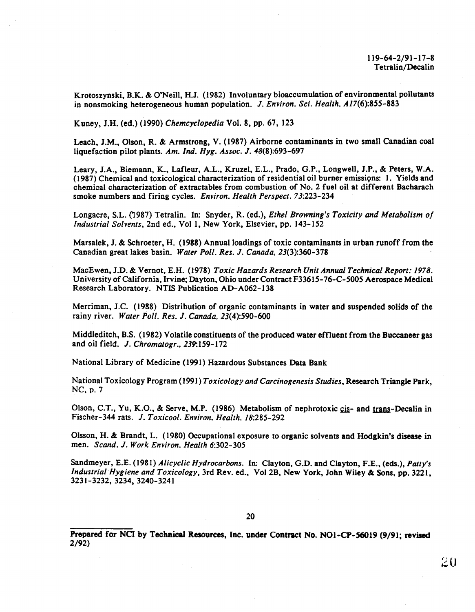Krotoszynski, B.K. & O'Neill, H.J. (1982) Involuntary bioaccumulation of environmental pollutants in nonsmoking heterogeneous human population. J. *Environ. Sci. Health,* A17(6):855-883

Kuney, J.H. (ed.) (1990) *Chemcyclopedia* Vol. 8, pp. 67, 123

Leach, J.M., Olson, R. & Armstrong, V. (1987) Airborne contaminants in two small Canadian coal liquefaction pilot plants. *Am. Ind. Hyg. Assoc.* J. 48(8):693-697

Leary, J.A., Biemann, K., Lafleur, A.L., Kruzel, E.L., Prado, G.P., Longwell, J.P., & Peters, W.A.  $(1987)$  Chemical and toxicological characterization of residential oil burner emissions: 1. Yields and chemical characterization of extractables from combustion of No. 2 fuel oil at different Bacharach smoke numbers and firing cycles. *Environ. Health Perspect.* 73:223-234

Longacre, S.L. (1987) Tetralin. In: Snyder, R. (ed.), *Ethel Browning's Toxicity and Metabolism of Industrial Solvents, 2nd ed., Vol 1, New York, Elsevier, pp. 143-152* 

Marsalek, J. & Schroeter, H. (1988) Annual loadings of toxic contaminants in urban runoff from the Canadian great lakes basin. *Water Poll. Res.* J. *Canada,* 23(3):360-378

MacEwen, J.D. & Vernot, E.H. (1978) *Toxic Hazards Research Unit Annual Technical Report: 1978.*  University of California, Irvine; Dayton, Ohio under Contract F33615-76-C-5005 Aerospace Medical Research Laboratory. NTIS Publication AD-A062-138

Merriman, J.C. (1988) Distribution of organic contaminants in water and suspended solids of the rainy river. *Water Poll. Res.* J. *Canada,* 23(4):590-600

Middleditch, B.S. ( 1982) Volatile constituents of the produced water effluent from the Buccaneer gas and oil field. J. *Chromatogr.,* 239:159-112

National Library of Medicine (1991) Hazardous Substances Data Bank

National Toxicology Program ( 1991) *Toxicology and Carcinogenesis Studies,* Research Triangle Park, NC, p. 7

Olson, C.T., Yu, K.O., & Serve, M.P. (1986) Metabolism of nephrotoxic cis- and trans-Decalin in Fischer-344 rats. J. *Toxicool. Environ. Health,* 18:285-292

Olsson, H. & Brandt, L. (1980) Occupational exposure to organic solvents and Hodgkin's disease in men. *Scand.* J. *Work Environ. Health* 6:302-305

Sandmeyer, E.E. (1981) *Alicyclic Hydrocarbons.* In: Clayton, G.D. and Clayton, F.E., (eds.), *Patty's Industria/Hygiene and Toxicology,* 3rd Rev. ed., Vol2B, New York, John Wiley & Sons, pp. 3221, 3231-3232, 3234, 3240-3241

Prepared for NCI by Technical Resources, Inc. under Contract No. NO1-CP-56019 (9/91; revised 2/92)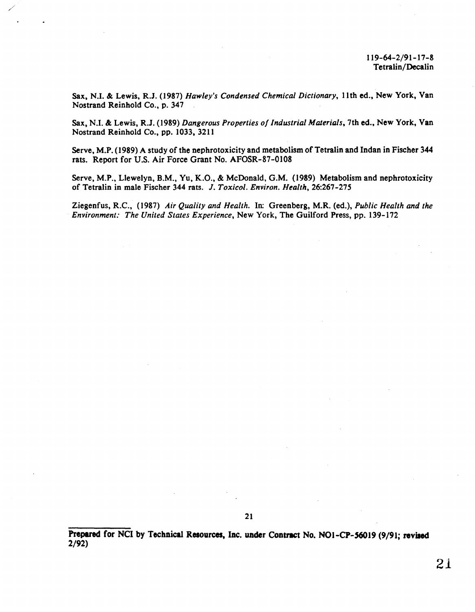Sax, N.I. & Lewis, R.J. (1987) *Hawley's Condensed Chemical Dictionary,* 11th ed., New York, Van Nostrand Reinhold Co., p. 347

*//* 

Sax, N.I. & Lewis, R.J. (1989) *Dangerous Properties of Industrial Materials,* 7th ed., New York, Van Nostrand Reinhold Co., pp. 1033, 3211

Serve, M.P. (1989) A study of the nephrotoxicity and metabolism of Tetralin and Indan in Fischer 344 rats. Report for U.S. Air Force Grant No. AFOSR-87-0108

Serve, M.P., Llewelyn, B.M., Yu, K.O., & McDonald, G.M. (1989) Metabolism and nephrotoxicity of Tetralin in male Fischer 344 rats. J. *Toxicol. Environ. Health,* 26:267-275

Ziegenfus, R.C., (1987) *Air Quality and Health.* In: Greenberg, M.R. (ed.), *Public Health and the Environment: The United States Experience,* New York, The Guilford Press, pp. 139-172

Prepared for NCI by Technical Resources, Inc. under Contract No. NO1-CP-56019 (9/91; revised 2/92)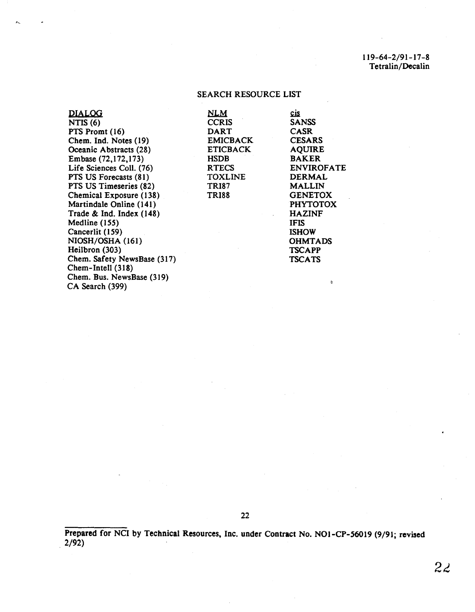### 119-64-2/91-17-8 Tetralin/Decalin

### SEARCH RESOURCE LIST

| <b>DIALOG</b>               | <b>NLM</b>      | <u>cis</u>        |
|-----------------------------|-----------------|-------------------|
| NTIS $(6)$                  | <b>CCRIS</b>    | <b>SANSS</b>      |
| PTS Promt (16)              | <b>DART</b>     | <b>CASR</b>       |
| Chem. Ind. Notes (19)       | <b>EMICBACK</b> | <b>CESARS</b>     |
| Oceanic Abstracts (28)      | <b>ETICBACK</b> | <b>AQUIRE</b>     |
| Embase (72,172,173)         | <b>HSDB</b>     | <b>BAKER</b>      |
| Life Sciences Coll. (76)    | <b>RTECS</b>    | <b>ENVIROFATE</b> |
| PTS US Forecasts (81)       | <b>TOXLINE</b>  | <b>DERMAL</b>     |
| PTS US Timeseries (82)      | <b>TRI87</b>    | <b>MALLIN</b>     |
| Chemical Exposure (138)     | <b>TRI88</b>    | <b>GENETOX</b>    |
| Martindale Online (141)     |                 | <b>PHYTOTOX</b>   |
| Trade & Ind. Index $(148)$  |                 | <b>HAZINF</b>     |
| Medline $(155)$             |                 | <b>IFIS</b>       |
| Cancerlit (159)             |                 | <b>ISHOW</b>      |
| NIOSH/OSHA (161)            |                 | <b>OHMTADS</b>    |
| Heilbron (303)              |                 | <b>TSCAPP</b>     |
| Chem. Safety NewsBase (317) |                 | <b>TSCATS</b>     |
| Chem-Intell (318)           |                 |                   |
| Chem. Bus. NewsBase (319)   |                 |                   |
| CA Search (399)             |                 | -de               |
|                             |                 |                   |

22

Prepared for NCI by Technical Resources, Inc. under Contract No. N01-CP-56019 (9/91; revised  $2/92$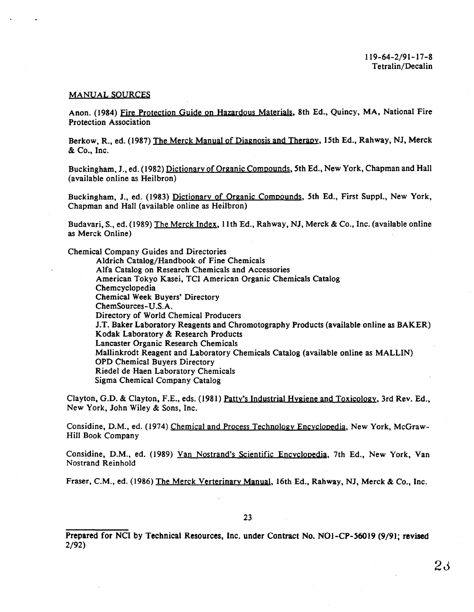#### MANUAL SOURCES

Anon. (1984) Fire Protection Guide on Hazardous Materials, 8th Ed., Quincy, MA, National Fire Protection Association

Berkow, R., ed. (1987) <u>The Merck Manual of Diagnosis and Therapy</u>, 15th Ed., Rahway, NJ, Merck & Co., Inc.

Buckingham, J., ed. (1982) <u>Dictionary of Organic Compounds,</u> 5th Ed., New York, Chapman and Hall (available online as Heilbron)

Buckingham, J., ed. (1983) Dictionary of Organic Compounds, 5th Ed., First Suppl., New York, Chapman and Hall (available online as Heilbron)

Budavari, S., ed. (1989) <u>The Merck Index</u>, 11th Ed., Rahway, NJ, Merck & Co., Inc. (available online as Merck Online)

Chemical Company Guides and Directories

Aldrich Catalog/Handbook of Fine Chemicals Alfa Catalog on Research Chemicals and Accessories American Tokyo Kasei, TCI American Organic Chemicals Catalog Chemcyclopedia Chemical Week Buyers' Directory ChemSources-U.S.A. Directory of World Chemical Producers J.T. Baker Laboratory Reagents and Chromatography Products (available online as BAKER) Kodak Laboratory & Research Products Lancaster Organic Research Chemicals Mallinkrodt Reagent and Laboratory Chemicals Catalog (available online as MALLIN) OPD Chemical Buyers Directory Riedel de Haen Laboratory Chemicals Sigma Chemical Company Catalog

Clayton, G.D. & Clayton, F.E., eds. (1981) Patty's Industrial Hygiene and Toxicology, 3rd Rev. Ed., New York, John Wiley & Sons, Inc.

Considine, D.M., ed. (1974) Chemical and Process Technology Encyclopedia, New York, McGraw-Hill Book Company

Considine, D.M., ed. (1989) Van Nostrand's Scientific Encyclopedia, 7th Ed., New York, Van Nostrand Reinhold

Fraser, C.M., ed. (1986) The Merck Yerterinary Manual, 16th Ed., Rahway, NJ, Merck & Co., Inc.

Prepared for NCI by Technical Resources, Inc. under Contract No. N01-CP-56019 (9/91; revised 2/92)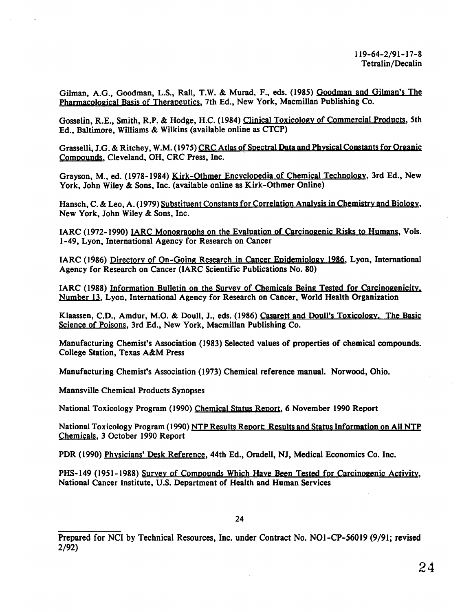Gilman, A.G., Goodman, L.S., Rail, T.W. & Murad, F., eds. (1985) Goodman and Gilman's The Pharmacological Basis of Therapeutics, 7th Ed., New York, Macmillan Publishing Co.

Gosselin, R.E., Smith, R.P. & Hodge, H.C. (1984) Clinical Toxicology of Commercial Products, 5th Ed., Baltimore, Williams & Wilkins (available online as CTCP)

Grasselli, J.G. & Ritchey, W.M. (1975) CRC Atlas of Spectral Data and Physical Constants for Organic Compounds, Cleveland, OH, CRC Press, Inc.

Grayson, M., ed. (1978-1984) Kirk-Othmer Encyclopedia of Chemical Technology, 3rd Ed., New York, John Wiley & Sons, Inc. (available online as Kirk-Othmer Online)

Hansch, C. & Leo, A. ( 1979) Substituent Constants for Correlation Analysis in Chemistry and Biology, New York, John Wiley & Sons, Inc.

IARC (1972-1990) IARC Monograophs on the Evaluation of Carcinogenic Risks to Humans, Vols. 1-49, Lyon, International Agency for Research on Cancer

IARC (1986) Directory of On-Going Research in Cancer Epidemiology 1986, Lyon, International Agency for Research on Cancer (IARC Scientific Publications No. 80)

IARC (1988) Information Bulletin on the Survey of Chemicals Being Tested for Carcinogenicity. Number 13, Lyon, International Agency for Research on Cancer, World Health Organization

Klaassen, C.D., Amdur, M.O. & Doull, J., eds. (1986) Casarett and Doull's Toxicology. The Basic Science of Poisons, 3rd Ed., New York, Macmillan Publishing Co.

Manufacturing Chemist's Association ( 1983) Selected values of properties of chemical compounds. College Station, Texas A&M Press

Manufacturing Chemist's Association (1973) Chemical reference manual. Norwood, Ohio.

Mannsville Chemical Products Synopses

National Toxicology Program (1990) Chemical Status Report, 6 November 1990 Report

National Toxicology Program (1990) NTP Results Report: Results and Status Information on All NTP Chemicals, 3 October 1990 Report

PDR (1990) <u>Physicians' Desk Reference</u>, 44th Ed., Oradell, NJ, Medical Economics Co. Inc.

PHS-149 (1951-1988) Survey of Compounds Which Have Been Tested for Carcinogenic Activity, National Cancer Institute, U.S. Department of Health and Human Services

Prepared for NCI by Technical Resources, Inc. under Contract No. N01-CP-56019 (9/91; revised 2/92)